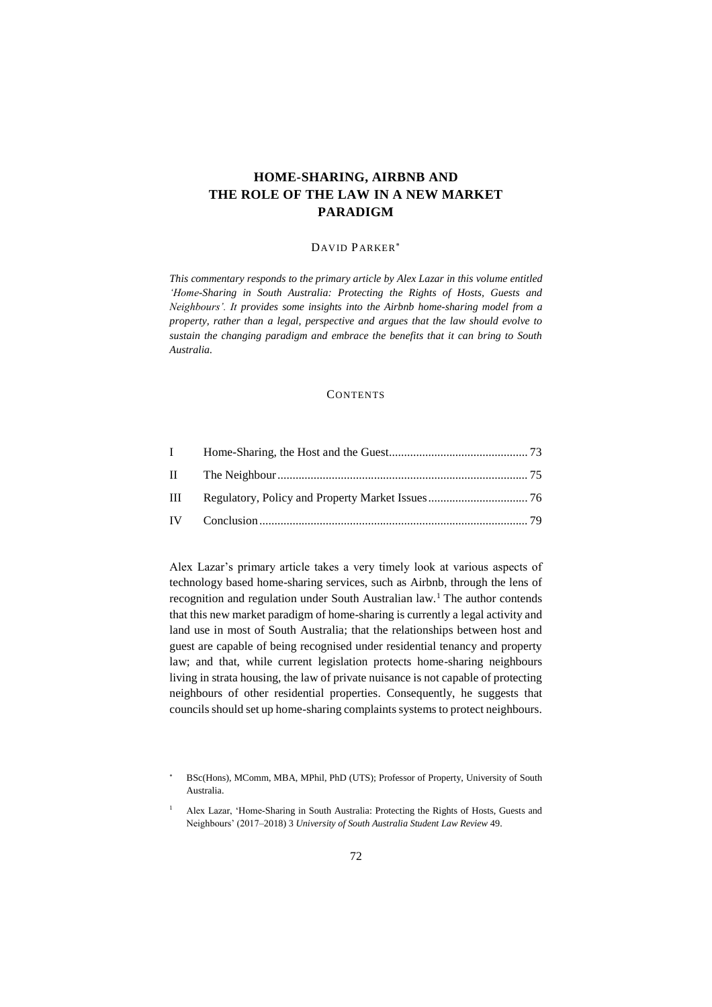# **HOME-SHARING, AIRBNB AND THE ROLE OF THE LAW IN A NEW MARKET PARADIGM**

# DAVID PARKER

*This commentary responds to the primary article by Alex Lazar in this volume entitled 'Home-Sharing in South Australia: Protecting the Rights of Hosts, Guests and Neighbours'. It provides some insights into the Airbnb home-sharing model from a property, rather than a legal, perspective and argues that the law should evolve to sustain the changing paradigm and embrace the benefits that it can bring to South Australia.* 

#### **CONTENTS**

| $\mathbf{I}$ |  |
|--------------|--|
|              |  |
| $\mathbf{H}$ |  |
|              |  |

Alex Lazar's primary article takes a very timely look at various aspects of technology based home-sharing services, such as Airbnb, through the lens of recognition and regulation under South Australian law.<sup>1</sup> The author contends that this new market paradigm of home-sharing is currently a legal activity and land use in most of South Australia; that the relationships between host and guest are capable of being recognised under residential tenancy and property law; and that, while current legislation protects home-sharing neighbours living in strata housing, the law of private nuisance is not capable of protecting neighbours of other residential properties. Consequently, he suggests that councils should set up home-sharing complaints systems to protect neighbours.

BSc(Hons), MComm, MBA, MPhil, PhD (UTS); Professor of Property, University of South Australia.

<sup>1</sup> Alex Lazar, 'Home-Sharing in South Australia: Protecting the Rights of Hosts, Guests and Neighbours' (2017–2018) 3 *University of South Australia Student Law Review* 49.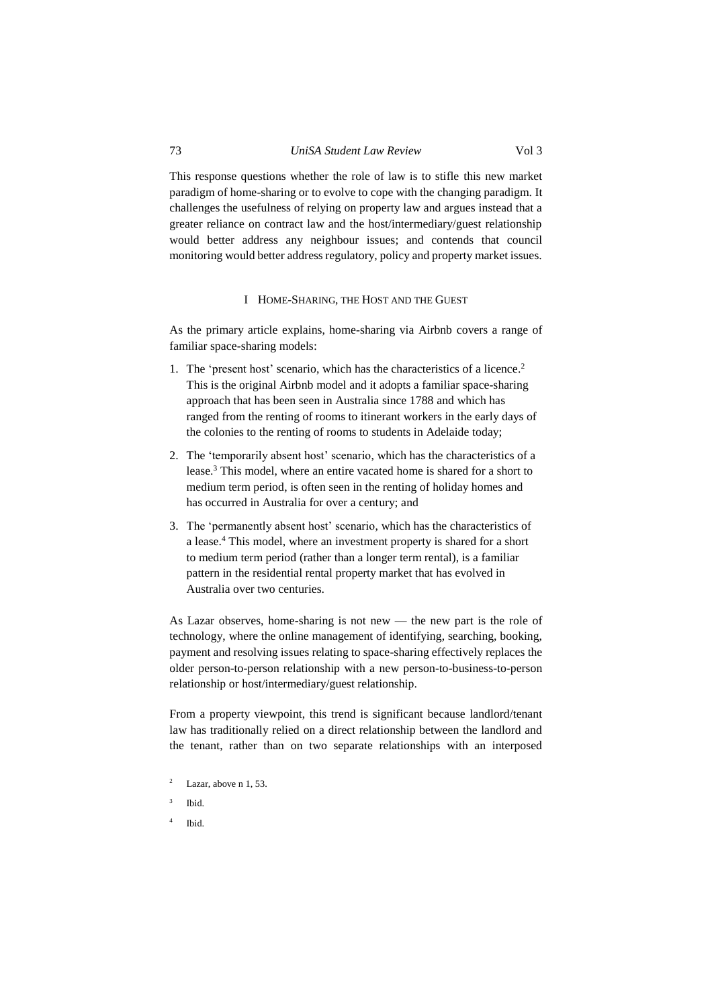This response questions whether the role of law is to stifle this new market paradigm of home-sharing or to evolve to cope with the changing paradigm. It challenges the usefulness of relying on property law and argues instead that a

greater reliance on contract law and the host/intermediary/guest relationship would better address any neighbour issues; and contends that council monitoring would better address regulatory, policy and property market issues.

# I HOME-SHARING, THE HOST AND THE GUEST

<span id="page-1-0"></span>As the primary article explains, home-sharing via Airbnb covers a range of familiar space-sharing models:

- 1. The 'present host' scenario, which has the characteristics of a licence. 2 This is the original Airbnb model and it adopts a familiar space-sharing approach that has been seen in Australia since 1788 and which has ranged from the renting of rooms to itinerant workers in the early days of the colonies to the renting of rooms to students in Adelaide today;
- 2. The 'temporarily absent host' scenario, which has the characteristics of a lease.<sup>3</sup> This model, where an entire vacated home is shared for a short to medium term period, is often seen in the renting of holiday homes and has occurred in Australia for over a century; and
- 3. The 'permanently absent host' scenario, which has the characteristics of a lease.<sup>4</sup> This model, where an investment property is shared for a short to medium term period (rather than a longer term rental), is a familiar pattern in the residential rental property market that has evolved in Australia over two centuries.

As Lazar observes, home-sharing is not new — the new part is the role of technology, where the online management of identifying, searching, booking, payment and resolving issues relating to space-sharing effectively replaces the older person-to-person relationship with a new person-to-business-to-person relationship or host/intermediary/guest relationship.

From a property viewpoint, this trend is significant because landlord/tenant law has traditionally relied on a direct relationship between the landlord and the tenant, rather than on two separate relationships with an interposed

- Lazar, above n 1, 53.
- 3 Ibid.
- 4 Ibid.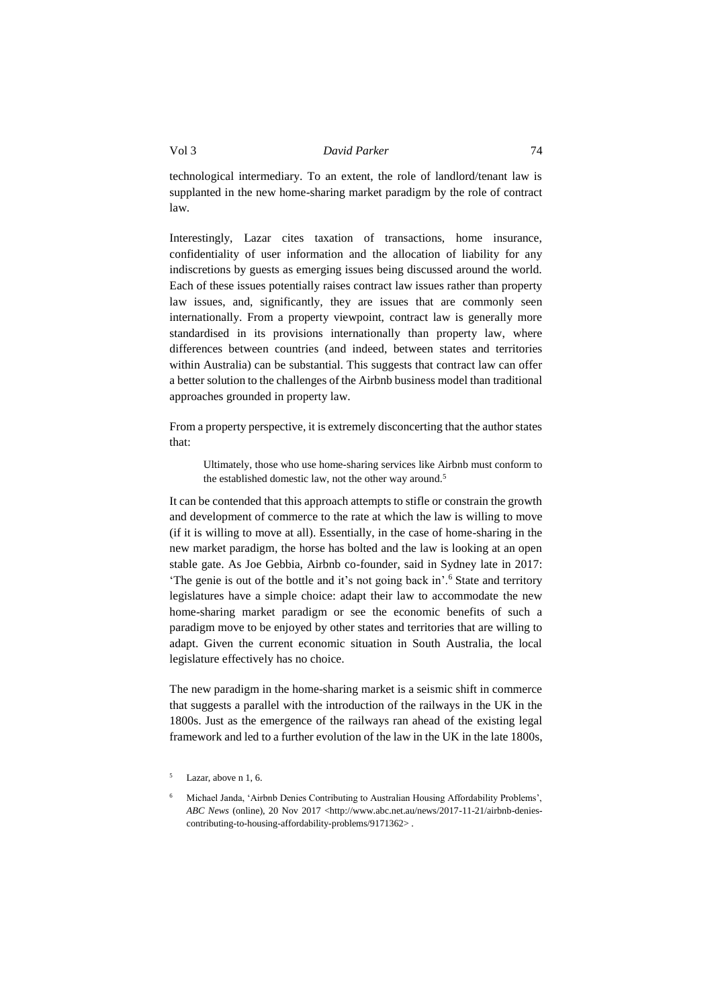technological intermediary. To an extent, the role of landlord/tenant law is supplanted in the new home-sharing market paradigm by the role of contract law.

Interestingly, Lazar cites taxation of transactions, home insurance, confidentiality of user information and the allocation of liability for any indiscretions by guests as emerging issues being discussed around the world. Each of these issues potentially raises contract law issues rather than property law issues, and, significantly, they are issues that are commonly seen internationally. From a property viewpoint, contract law is generally more standardised in its provisions internationally than property law, where differences between countries (and indeed, between states and territories within Australia) can be substantial. This suggests that contract law can offer a better solution to the challenges of the Airbnb business model than traditional approaches grounded in property law.

From a property perspective, it is extremely disconcerting that the author states that:

Ultimately, those who use home-sharing services like Airbnb must conform to the established domestic law, not the other way around.<sup>5</sup>

It can be contended that this approach attempts to stifle or constrain the growth and development of commerce to the rate at which the law is willing to move (if it is willing to move at all). Essentially, in the case of home-sharing in the new market paradigm, the horse has bolted and the law is looking at an open stable gate. As Joe Gebbia, Airbnb co-founder, said in Sydney late in 2017: 'The genie is out of the bottle and it's not going back in'.<sup>6</sup> State and territory legislatures have a simple choice: adapt their law to accommodate the new home-sharing market paradigm or see the economic benefits of such a paradigm move to be enjoyed by other states and territories that are willing to adapt. Given the current economic situation in South Australia, the local legislature effectively has no choice.

The new paradigm in the home-sharing market is a seismic shift in commerce that suggests a parallel with the introduction of the railways in the UK in the 1800s. Just as the emergence of the railways ran ahead of the existing legal framework and led to a further evolution of the law in the UK in the late 1800s,

<sup>5</sup> Lazar, above n 1, 6.

<sup>6</sup> Michael Janda, 'Airbnb Denies Contributing to Australian Housing Affordability Problems', *ABC News* (online), 20 Nov 2017 <http://www.abc.net.au/news/2017-11-21/airbnb-deniescontributing-to-housing-affordability-problems/9171362> .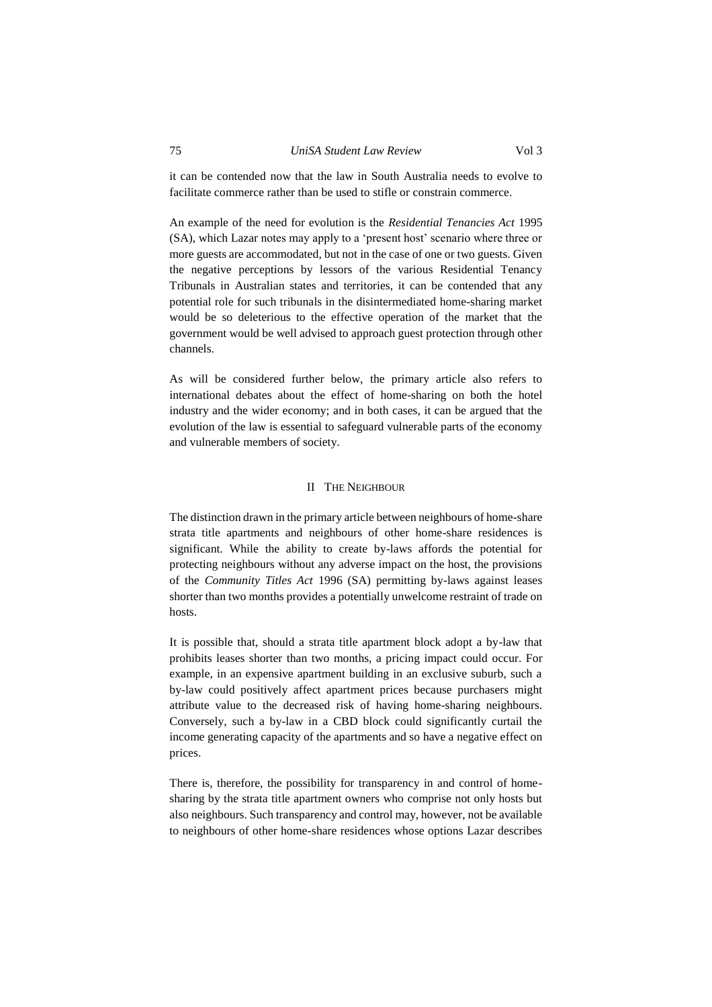it can be contended now that the law in South Australia needs to evolve to facilitate commerce rather than be used to stifle or constrain commerce.

An example of the need for evolution is the *Residential Tenancies Act* 1995 (SA), which Lazar notes may apply to a 'present host' scenario where three or more guests are accommodated, but not in the case of one or two guests. Given the negative perceptions by lessors of the various Residential Tenancy Tribunals in Australian states and territories, it can be contended that any potential role for such tribunals in the disintermediated home-sharing market would be so deleterious to the effective operation of the market that the government would be well advised to approach guest protection through other channels.

As will be considered further below, the primary article also refers to international debates about the effect of home-sharing on both the hotel industry and the wider economy; and in both cases, it can be argued that the evolution of the law is essential to safeguard vulnerable parts of the economy and vulnerable members of society.

#### II THE NEIGHBOUR

<span id="page-3-0"></span>The distinction drawn in the primary article between neighbours of home-share strata title apartments and neighbours of other home-share residences is significant. While the ability to create by-laws affords the potential for protecting neighbours without any adverse impact on the host, the provisions of the *Community Titles Act* 1996 (SA) permitting by-laws against leases shorter than two months provides a potentially unwelcome restraint of trade on hosts.

It is possible that, should a strata title apartment block adopt a by-law that prohibits leases shorter than two months, a pricing impact could occur. For example, in an expensive apartment building in an exclusive suburb, such a by-law could positively affect apartment prices because purchasers might attribute value to the decreased risk of having home-sharing neighbours. Conversely, such a by-law in a CBD block could significantly curtail the income generating capacity of the apartments and so have a negative effect on prices.

There is, therefore, the possibility for transparency in and control of homesharing by the strata title apartment owners who comprise not only hosts but also neighbours. Such transparency and control may, however, not be available to neighbours of other home-share residences whose options Lazar describes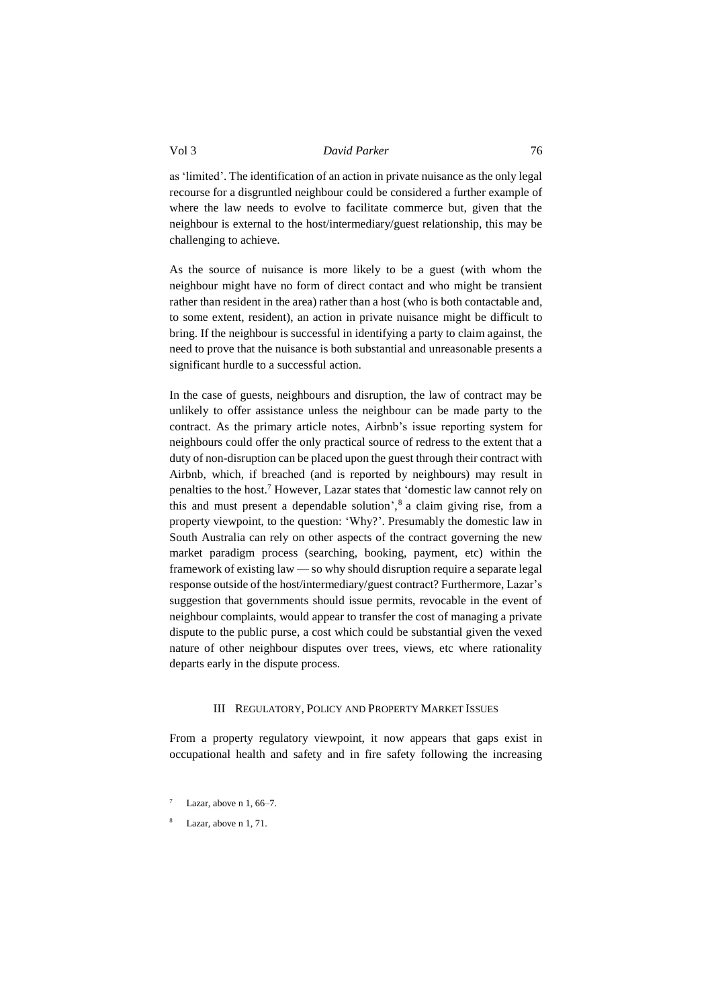as 'limited'. The identification of an action in private nuisance as the only legal recourse for a disgruntled neighbour could be considered a further example of where the law needs to evolve to facilitate commerce but, given that the neighbour is external to the host/intermediary/guest relationship, this may be challenging to achieve.

As the source of nuisance is more likely to be a guest (with whom the neighbour might have no form of direct contact and who might be transient rather than resident in the area) rather than a host (who is both contactable and, to some extent, resident), an action in private nuisance might be difficult to bring. If the neighbour is successful in identifying a party to claim against, the need to prove that the nuisance is both substantial and unreasonable presents a significant hurdle to a successful action.

In the case of guests, neighbours and disruption, the law of contract may be unlikely to offer assistance unless the neighbour can be made party to the contract. As the primary article notes, Airbnb's issue reporting system for neighbours could offer the only practical source of redress to the extent that a duty of non-disruption can be placed upon the guest through their contract with Airbnb, which, if breached (and is reported by neighbours) may result in penalties to the host.<sup>7</sup> However, Lazar states that 'domestic law cannot rely on this and must present a dependable solution', 8 a claim giving rise, from a property viewpoint, to the question: 'Why?'. Presumably the domestic law in South Australia can rely on other aspects of the contract governing the new market paradigm process (searching, booking, payment, etc) within the framework of existing law — so why should disruption require a separate legal response outside of the host/intermediary/guest contract? Furthermore, Lazar's suggestion that governments should issue permits, revocable in the event of neighbour complaints, would appear to transfer the cost of managing a private dispute to the public purse, a cost which could be substantial given the vexed nature of other neighbour disputes over trees, views, etc where rationality departs early in the dispute process.

#### III REGULATORY, POLICY AND PROPERTY MARKET ISSUES

<span id="page-4-0"></span>From a property regulatory viewpoint, it now appears that gaps exist in occupational health and safety and in fire safety following the increasing

- Lazar, above  $n$  1, 66–7.
- Lazar, above n 1, 71.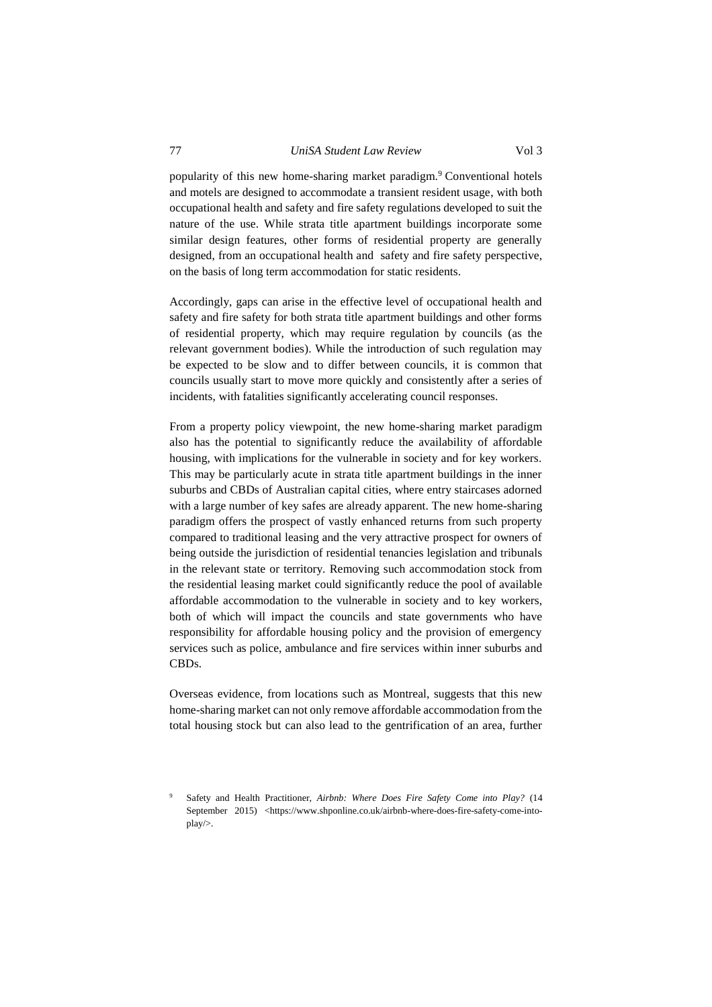popularity of this new home-sharing market paradigm. <sup>9</sup> Conventional hotels and motels are designed to accommodate a transient resident usage, with both occupational health and safety and fire safety regulations developed to suit the nature of the use. While strata title apartment buildings incorporate some

similar design features, other forms of residential property are generally designed, from an occupational health and safety and fire safety perspective, on the basis of long term accommodation for static residents.

Accordingly, gaps can arise in the effective level of occupational health and safety and fire safety for both strata title apartment buildings and other forms of residential property, which may require regulation by councils (as the relevant government bodies). While the introduction of such regulation may be expected to be slow and to differ between councils, it is common that councils usually start to move more quickly and consistently after a series of incidents, with fatalities significantly accelerating council responses.

From a property policy viewpoint, the new home-sharing market paradigm also has the potential to significantly reduce the availability of affordable housing, with implications for the vulnerable in society and for key workers. This may be particularly acute in strata title apartment buildings in the inner suburbs and CBDs of Australian capital cities, where entry staircases adorned with a large number of key safes are already apparent. The new home-sharing paradigm offers the prospect of vastly enhanced returns from such property compared to traditional leasing and the very attractive prospect for owners of being outside the jurisdiction of residential tenancies legislation and tribunals in the relevant state or territory. Removing such accommodation stock from the residential leasing market could significantly reduce the pool of available affordable accommodation to the vulnerable in society and to key workers, both of which will impact the councils and state governments who have responsibility for affordable housing policy and the provision of emergency services such as police, ambulance and fire services within inner suburbs and CBDs.

Overseas evidence, from locations such as Montreal, suggests that this new home-sharing market can not only remove affordable accommodation from the total housing stock but can also lead to the gentrification of an area, further

<sup>9</sup> Safety and Health Practitioner, *Airbnb: Where Does Fire Safety Come into Play?* (14 September 2015) <https://www.shponline.co.uk/airbnb-where-does-fire-safety-come-intoplay/>.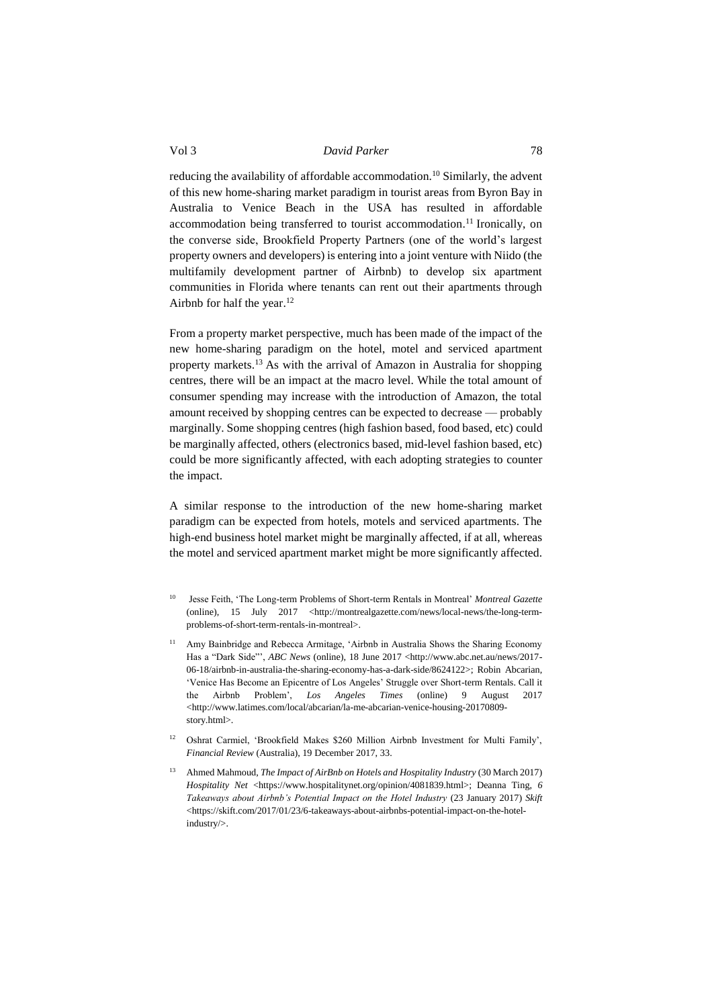reducing the availability of affordable accommodation. <sup>10</sup> Similarly, the advent of this new home-sharing market paradigm in tourist areas from Byron Bay in Australia to Venice Beach in the USA has resulted in affordable accommodation being transferred to tourist accommodation. <sup>11</sup> Ironically, on the converse side, Brookfield Property Partners (one of the world's largest property owners and developers) is entering into a joint venture with Niido (the multifamily development partner of Airbnb) to develop six apartment communities in Florida where tenants can rent out their apartments through Airbnb for half the year.<sup>12</sup>

From a property market perspective, much has been made of the impact of the new home-sharing paradigm on the hotel, motel and serviced apartment property markets. <sup>13</sup> As with the arrival of Amazon in Australia for shopping centres, there will be an impact at the macro level. While the total amount of consumer spending may increase with the introduction of Amazon, the total amount received by shopping centres can be expected to decrease — probably marginally. Some shopping centres (high fashion based, food based, etc) could be marginally affected, others (electronics based, mid-level fashion based, etc) could be more significantly affected, with each adopting strategies to counter the impact.

A similar response to the introduction of the new home-sharing market paradigm can be expected from hotels, motels and serviced apartments. The high-end business hotel market might be marginally affected, if at all, whereas the motel and serviced apartment market might be more significantly affected.

- <sup>10</sup> Jesse Feith, 'The Long-term Problems of Short-term Rentals in Montreal' *Montreal Gazette*  (online), 15 July 2017 <http://montrealgazette.com/news/local-news/the-long-termproblems-of-short-term-rentals-in-montreal>.
- <sup>11</sup> Amy Bainbridge and Rebecca Armitage, 'Airbnb in Australia Shows the Sharing Economy Has a "Dark Side"", *ABC News* (online), 18 June 2017 <http://www.abc.net.au/news/2017-06-18/airbnb-in-australia-the-sharing-economy-has-a-dark-side/8624122>; Robin Abcarian, 'Venice Has Become an Epicentre of Los Angeles' Struggle over Short-term Rentals. Call it the Airbnb Problem', *Los Angeles Times* (online) 9 August 2017 <http://www.latimes.com/local/abcarian/la-me-abcarian-venice-housing-20170809 story.html>.
- <sup>12</sup> Oshrat Carmiel, 'Brookfield Makes \$260 Million Airbnb Investment for Multi Family', *Financial Review* (Australia), 19 December 2017, 33.
- <sup>13</sup> Ahmed Mahmoud, *The Impact of AirBnb on Hotels and Hospitality Industry* (30 March 2017) *Hospitality Net* <https://www.hospitalitynet.org/opinion/4081839.html>; Deanna Ting, *6 Takeaways about Airbnb's Potential Impact on the Hotel Industry* (23 January 2017) *Skift* <https://skift.com/2017/01/23/6-takeaways-about-airbnbs-potential-impact-on-the-hotelindustry/>.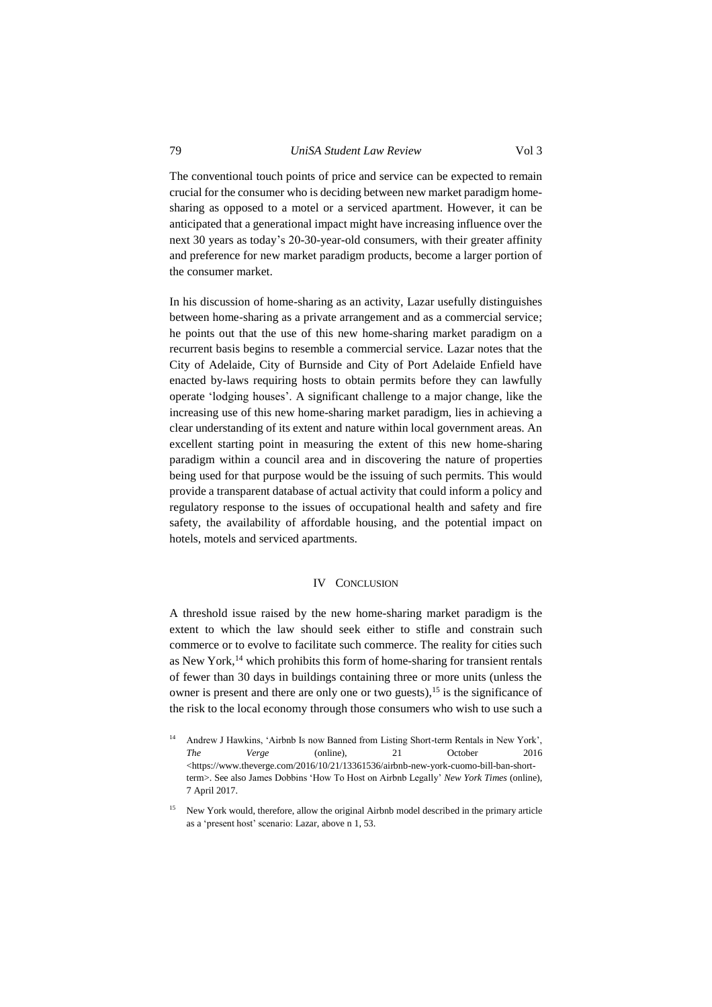The conventional touch points of price and service can be expected to remain crucial for the consumer who is deciding between new market paradigm homesharing as opposed to a motel or a serviced apartment. However, it can be anticipated that a generational impact might have increasing influence over the next 30 years as today's 20-30-year-old consumers, with their greater affinity and preference for new market paradigm products, become a larger portion of the consumer market.

In his discussion of home-sharing as an activity, Lazar usefully distinguishes between home-sharing as a private arrangement and as a commercial service; he points out that the use of this new home-sharing market paradigm on a recurrent basis begins to resemble a commercial service. Lazar notes that the City of Adelaide, City of Burnside and City of Port Adelaide Enfield have enacted by-laws requiring hosts to obtain permits before they can lawfully operate 'lodging houses'. A significant challenge to a major change, like the increasing use of this new home-sharing market paradigm, lies in achieving a clear understanding of its extent and nature within local government areas. An excellent starting point in measuring the extent of this new home-sharing paradigm within a council area and in discovering the nature of properties being used for that purpose would be the issuing of such permits. This would provide a transparent database of actual activity that could inform a policy and regulatory response to the issues of occupational health and safety and fire safety, the availability of affordable housing, and the potential impact on hotels, motels and serviced apartments.

#### IV CONCLUSION

<span id="page-7-0"></span>A threshold issue raised by the new home-sharing market paradigm is the extent to which the law should seek either to stifle and constrain such commerce or to evolve to facilitate such commerce. The reality for cities such as New York, <sup>14</sup> which prohibits this form of home-sharing for transient rentals of fewer than 30 days in buildings containing three or more units (unless the owner is present and there are only one or two guests),<sup>15</sup> is the significance of the risk to the local economy through those consumers who wish to use such a

Andrew J Hawkins, 'Airbnb Is now Banned from Listing Short-term Rentals in New York', *The Verge* (online), 21 October 2016 <https://www.theverge.com/2016/10/21/13361536/airbnb-new-york-cuomo-bill-ban-shortterm>. See also James Dobbins 'How To Host on Airbnb Legally' *New York Times* (online), 7 April 2017.

<sup>15</sup> New York would, therefore, allow the original Airbnb model described in the primary article as a 'present host' scenario: Lazar, above n 1, 53.